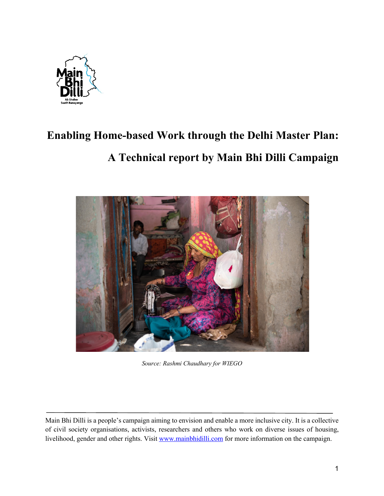

# **Enabling Home-based Work through the Delhi Master Plan: A Technical report by Main Bhi Dilli Campaign**



*Source: Rashmi Chaudhary for WIEGO* 

Main Bhi Dilli is a people's campaign aiming to envision and enable a more inclusive city. It is a collective of civil society organisations, activists, researchers and others who work on diverse issues of housing, livelihood, gender and other rights. Visit www.mainbhidilli.com for more information on the campaign.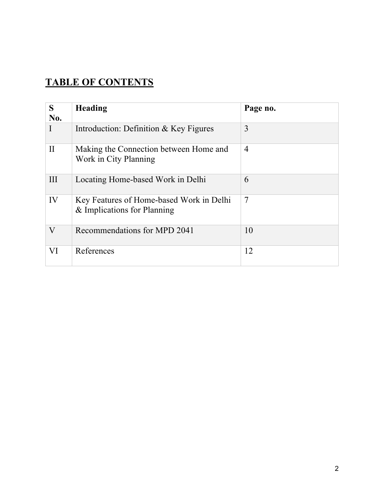# **TABLE OF CONTENTS**

| S<br>No.     | Heading                                                                 | Page no.       |
|--------------|-------------------------------------------------------------------------|----------------|
|              | Introduction: Definition & Key Figures                                  | 3              |
| $\mathbf{I}$ | Making the Connection between Home and<br>Work in City Planning         | $\overline{4}$ |
| III          | Locating Home-based Work in Delhi                                       | 6              |
| IV           | Key Features of Home-based Work in Delhi<br>& Implications for Planning | 7              |
| $\rm V$      | Recommendations for MPD 2041                                            | 10             |
| VI           | References                                                              | 12             |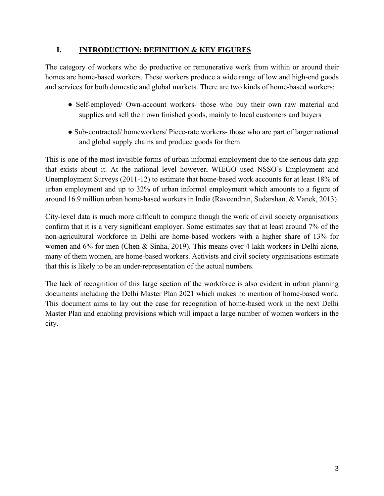#### **I. INTRODUCTION: DEFINITION & KEY FIGURES**

The category of workers who do productive or remunerative work from within or around their homes are home-based workers. These workers produce a wide range of low and high-end goods and services for both domestic and global markets. There are two kinds of home-based workers:

- Self-employed/ Own-account workers- those who buy their own raw material and supplies and sell their own finished goods, mainly to local customers and buyers
- Sub-contracted/ homeworkers/ Piece-rate workers- those who are part of larger national and global supply chains and produce goods for them

This is one of the most invisible forms of urban informal employment due to the serious data gap that exists about it. At the national level however, WIEGO used NSSO's Employment and Unemployment Surveys (2011-12) to estimate that home-based work accounts for at least 18% of urban employment and up to 32% of urban informal employment which amounts to a figure of around 16.9 million urban home-based workers in India (Raveendran, Sudarshan, & Vanek, 2013).

City-level data is much more difficult to compute though the work of civil society organisations confirm that it is a very significant employer. Some estimates say that at least around 7% of the non-agricultural workforce in Delhi are home-based workers with a higher share of 13% for women and 6% for men (Chen & Sinha, 2019). This means over 4 lakh workers in Delhi alone, many of them women, are home-based workers. Activists and civil society organisations estimate that this is likely to be an under-representation of the actual numbers.

The lack of recognition of this large section of the workforce is also evident in urban planning documents including the Delhi Master Plan 2021 which makes no mention of home-based work. This document aims to lay out the case for recognition of home-based work in the next Delhi Master Plan and enabling provisions which will impact a large number of women workers in the city.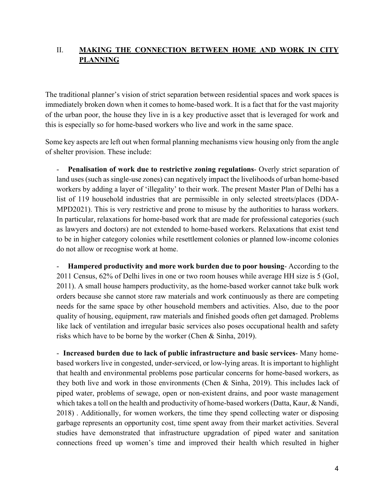## II. **MAKING THE CONNECTION BETWEEN HOME AND WORK IN CITY PLANNING**

The traditional planner's vision of strict separation between residential spaces and work spaces is immediately broken down when it comes to home-based work. It is a fact that for the vast majority of the urban poor, the house they live in is a key productive asset that is leveraged for work and this is especially so for home-based workers who live and work in the same space.

Some key aspects are left out when formal planning mechanisms view housing only from the angle of shelter provision. These include:

- **Penalisation of work due to restrictive zoning regulations**- Overly strict separation of land uses (such as single-use zones) can negatively impact the livelihoods of urban home-based workers by adding a layer of 'illegality' to their work. The present Master Plan of Delhi has a list of 119 household industries that are permissible in only selected streets/places (DDA-MPD2021). This is very restrictive and prone to misuse by the authorities to harass workers. In particular, relaxations for home-based work that are made for professional categories (such as lawyers and doctors) are not extended to home-based workers. Relaxations that exist tend to be in higher category colonies while resettlement colonies or planned low-income colonies do not allow or recognise work at home.

- **Hampered productivity and more work burden due to poor housing**- According to the 2011 Census, 62% of Delhi lives in one or two room houses while average HH size is 5 (GoI, 2011). A small house hampers productivity, as the home-based worker cannot take bulk work orders because she cannot store raw materials and work continuously as there are competing needs for the same space by other household members and activities. Also, due to the poor quality of housing, equipment, raw materials and finished goods often get damaged. Problems like lack of ventilation and irregular basic services also poses occupational health and safety risks which have to be borne by the worker (Chen & Sinha, 2019).

- **Increased burden due to lack of public infrastructure and basic services**- Many homebased workers live in congested, under-serviced, or low-lying areas. It is important to highlight that health and environmental problems pose particular concerns for home-based workers, as they both live and work in those environments (Chen & Sinha, 2019). This includes lack of piped water, problems of sewage, open or non-existent drains, and poor waste management which takes a toll on the health and productivity of home-based workers (Datta, Kaur, & Nandi, 2018) . Additionally, for women workers, the time they spend collecting water or disposing garbage represents an opportunity cost, time spent away from their market activities. Several studies have demonstrated that infrastructure upgradation of piped water and sanitation connections freed up women's time and improved their health which resulted in higher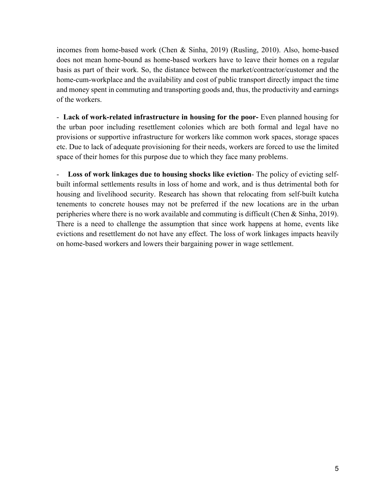incomes from home-based work (Chen & Sinha, 2019) (Rusling, 2010). Also, home-based does not mean home-bound as home-based workers have to leave their homes on a regular basis as part of their work. So, the distance between the market/contractor/customer and the home-cum-workplace and the availability and cost of public transport directly impact the time and money spent in commuting and transporting goods and, thus, the productivity and earnings of the workers.

- **Lack of work-related infrastructure in housing for the poor-** Even planned housing for the urban poor including resettlement colonies which are both formal and legal have no provisions or supportive infrastructure for workers like common work spaces, storage spaces etc. Due to lack of adequate provisioning for their needs, workers are forced to use the limited space of their homes for this purpose due to which they face many problems.

Loss of work linkages due to housing shocks like eviction- The policy of evicting selfbuilt informal settlements results in loss of home and work, and is thus detrimental both for housing and livelihood security. Research has shown that relocating from self-built kutcha tenements to concrete houses may not be preferred if the new locations are in the urban peripheries where there is no work available and commuting is difficult (Chen & Sinha, 2019). There is a need to challenge the assumption that since work happens at home, events like evictions and resettlement do not have any effect. The loss of work linkages impacts heavily on home-based workers and lowers their bargaining power in wage settlement.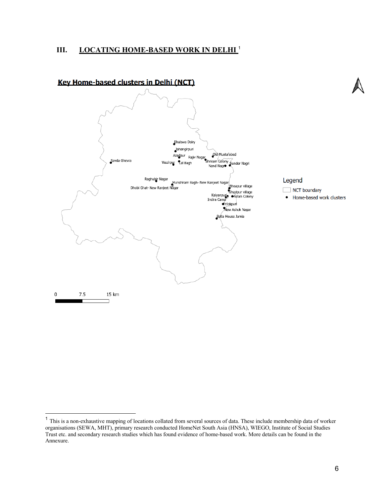#### **III. LOCATING HOME-BASED WORK IN DELHI** <sup>1</sup>



#### Kev Home-based clusters in Delhi (NCT)

Legend

NCT boundary

<sup>•</sup> Home-based work clusters

<sup>1</sup> This is a non-exhaustive mapping of locations collated from several sources of data. These include membership data of worker organisations (SEWA, MHT), primary research conducted HomeNet South Asia (HNSA), WIEGO, Institute of Social Studies Trust etc. and secondary research studies which has found evidence of home-based work. More details can be found in the Annexure.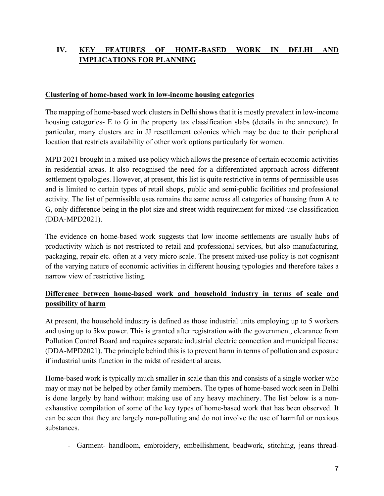# **IV. KEY FEATURES OF HOME-BASED WORK IN DELHI AND IMPLICATIONS FOR PLANNING**

#### **Clustering of home-based work in low-income housing categories**

The mapping of home-based work clusters in Delhi shows that it is mostly prevalent in low-income housing categories- E to G in the property tax classification slabs (details in the annexure). In particular, many clusters are in JJ resettlement colonies which may be due to their peripheral location that restricts availability of other work options particularly for women.

MPD 2021 brought in a mixed-use policy which allows the presence of certain economic activities in residential areas. It also recognised the need for a differentiated approach across different settlement typologies. However, at present, this list is quite restrictive in terms of permissible uses and is limited to certain types of retail shops, public and semi-public facilities and professional activity. The list of permissible uses remains the same across all categories of housing from A to G, only difference being in the plot size and street width requirement for mixed-use classification (DDA-MPD2021).

The evidence on home-based work suggests that low income settlements are usually hubs of productivity which is not restricted to retail and professional services, but also manufacturing, packaging, repair etc. often at a very micro scale. The present mixed-use policy is not cognisant of the varying nature of economic activities in different housing typologies and therefore takes a narrow view of restrictive listing.

## **Difference between home-based work and household industry in terms of scale and possibility of harm**

At present, the household industry is defined as those industrial units employing up to 5 workers and using up to 5kw power. This is granted after registration with the government, clearance from Pollution Control Board and requires separate industrial electric connection and municipal license (DDA-MPD2021). The principle behind this is to prevent harm in terms of pollution and exposure if industrial units function in the midst of residential areas.

Home-based work is typically much smaller in scale than this and consists of a single worker who may or may not be helped by other family members. The types of home-based work seen in Delhi is done largely by hand without making use of any heavy machinery. The list below is a nonexhaustive compilation of some of the key types of home-based work that has been observed. It can be seen that they are largely non-polluting and do not involve the use of harmful or noxious substances.

- Garment- handloom, embroidery, embellishment, beadwork, stitching, jeans thread-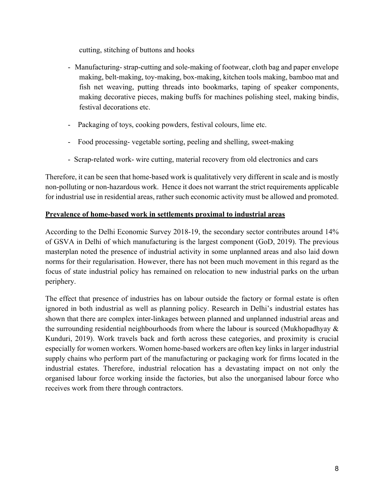cutting, stitching of buttons and hooks

- Manufacturing- strap-cutting and sole-making of footwear, cloth bag and paper envelope making, belt-making, toy-making, box-making, kitchen tools making, bamboo mat and fish net weaving, putting threads into bookmarks, taping of speaker components, making decorative pieces, making buffs for machines polishing steel, making bindis, festival decorations etc.
- Packaging of toys, cooking powders, festival colours, lime etc.
- Food processing- vegetable sorting, peeling and shelling, sweet-making
- Scrap-related work- wire cutting, material recovery from old electronics and cars

Therefore, it can be seen that home-based work is qualitatively very different in scale and is mostly non-polluting or non-hazardous work. Hence it does not warrant the strict requirements applicable for industrial use in residential areas, rather such economic activity must be allowed and promoted.

#### **Prevalence of home-based work in settlements proximal to industrial areas**

According to the Delhi Economic Survey 2018-19, the secondary sector contributes around 14% of GSVA in Delhi of which manufacturing is the largest component (GoD, 2019). The previous masterplan noted the presence of industrial activity in some unplanned areas and also laid down norms for their regularisation. However, there has not been much movement in this regard as the focus of state industrial policy has remained on relocation to new industrial parks on the urban periphery.

The effect that presence of industries has on labour outside the factory or formal estate is often ignored in both industrial as well as planning policy. Research in Delhi's industrial estates has shown that there are complex inter-linkages between planned and unplanned industrial areas and the surrounding residential neighbourhoods from where the labour is sourced (Mukhopadhyay & Kunduri, 2019). Work travels back and forth across these categories, and proximity is crucial especially for women workers. Women home-based workers are often key links in larger industrial supply chains who perform part of the manufacturing or packaging work for firms located in the industrial estates. Therefore, industrial relocation has a devastating impact on not only the organised labour force working inside the factories, but also the unorganised labour force who receives work from there through contractors.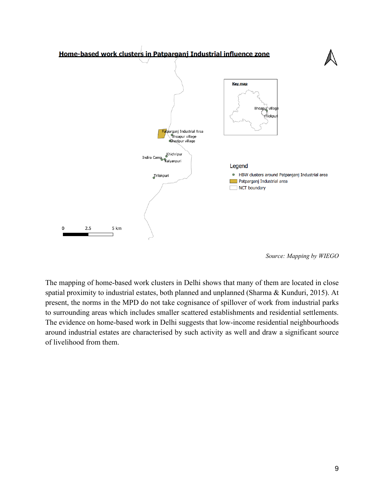

*Source: Mapping by WIEGO*

The mapping of home-based work clusters in Delhi shows that many of them are located in close spatial proximity to industrial estates, both planned and unplanned (Sharma & Kunduri, 2015). At present, the norms in the MPD do not take cognisance of spillover of work from industrial parks to surrounding areas which includes smaller scattered establishments and residential settlements. The evidence on home-based work in Delhi suggests that low-income residential neighbourhoods around industrial estates are characterised by such activity as well and draw a significant source of livelihood from them.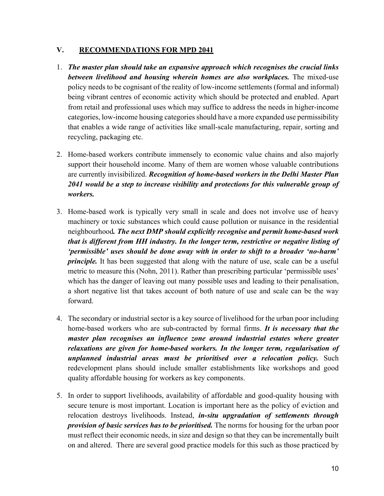#### **V. RECOMMENDATIONS FOR MPD 2041**

- 1. *The master plan should take an expansive approach which recognises the crucial links between livelihood and housing wherein homes are also workplaces.* The mixed-use policy needs to be cognisant of the reality of low-income settlements (formal and informal) being vibrant centres of economic activity which should be protected and enabled. Apart from retail and professional uses which may suffice to address the needs in higher-income categories, low-income housing categories should have a more expanded use permissibility that enables a wide range of activities like small-scale manufacturing, repair, sorting and recycling, packaging etc.
- 2. Home-based workers contribute immensely to economic value chains and also majorly support their household income. Many of them are women whose valuable contributions are currently invisibilized. *Recognition of home-based workers in the Delhi Master Plan 2041 would be a step to increase visibility and protections for this vulnerable group of workers.*
- 3. Home-based work is typically very small in scale and does not involve use of heavy machinery or toxic substances which could cause pollution or nuisance in the residential neighbourhood*. The next DMP should explicitly recognise and permit home-based work that is different from HH industry. In the longer term, restrictive or negative listing of 'permissible' uses should be done away with in order to shift to a broader 'no-harm' principle*. It has been suggested that along with the nature of use, scale can be a useful metric to measure this (Nohn, 2011). Rather than prescribing particular 'permissible uses' which has the danger of leaving out many possible uses and leading to their penalisation, a short negative list that takes account of both nature of use and scale can be the way forward.
- 4. The secondary or industrial sector is a key source of livelihood for the urban poor including home-based workers who are sub-contracted by formal firms. *It is necessary that the master plan recognises an influence zone around industrial estates where greater relaxations are given for home-based workers. In the longer term, regularisation of unplanned industrial areas must be prioritised over a relocation policy.* Such redevelopment plans should include smaller establishments like workshops and good quality affordable housing for workers as key components.
- 5. In order to support livelihoods, availability of affordable and good-quality housing with secure tenure is most important. Location is important here as the policy of eviction and relocation destroys livelihoods. Instead, *in-situ upgradation of settlements through provision of basic services has to be prioritised.* The norms for housing for the urban poor must reflect their economic needs, in size and design so that they can be incrementally built on and altered. There are several good practice models for this such as those practiced by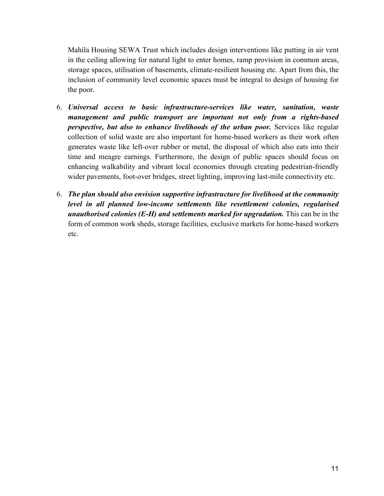Mahila Housing SEWA Trust which includes design interventions like putting in air vent in the ceiling allowing for natural light to enter homes, ramp provision in common areas, storage spaces, utilisation of basements, climate-resilient housing etc. Apart from this, the inclusion of community level economic spaces must be integral to design of housing for the poor.

- 6. *Universal access to basic infrastructure-services like water, sanitation, waste management and public transport are important not only from a rights-based perspective, but also to enhance livelihoods of the urban poor.* Services like regular collection of solid waste are also important for home-based workers as their work often generates waste like left-over rubber or metal, the disposal of which also eats into their time and meagre earnings. Furthermore, the design of public spaces should focus on enhancing walkability and vibrant local economies through creating pedestrian-friendly wider pavements, foot-over bridges, street lighting, improving last-mile connectivity etc.
- 6. *The plan should also envision supportive infrastructure for livelihood at the community level in all planned low-income settlements like resettlement colonies, regularised unauthorised colonies (E-H) and settlements marked for upgradation.* This can be in the form of common work sheds, storage facilities, exclusive markets for home-based workers etc.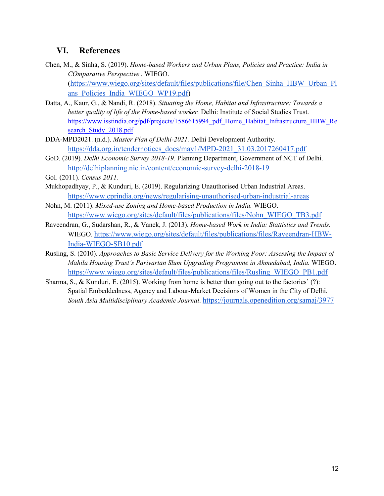# **VI. References**

- Chen, M., & Sinha, S. (2019). *Home-based Workers and Urban Plans, Policies and Practice: India in COmparative Perspective .* WIEGO. (https://www.wiego.org/sites/default/files/publications/file/Chen\_Sinha\_HBW\_Urban\_Pl ans\_Policies\_India\_WIEGO\_WP19.pdf)
- Datta, A., Kaur, G., & Nandi, R. (2018). *Situating the Home, Habitat and Infrastructure: Towards a better quality of life of the Home-based worker.* Delhi: Institute of Social Studies Trust. https://www.isstindia.org/pdf/projects/1586615994\_pdf\_Home\_Habitat\_Infrastructure\_HBW\_Re search Study 2018.pdf
- DDA-MPD2021. (n.d.). *Master Plan of Delhi-2021.* Delhi Development Authority. https://dda.org.in/tendernotices\_docs/may1/MPD-2021\_31.03.2017260417.pdf
- GoD. (2019). *Delhi Economic Survey 2018-19.* Planning Department, Government of NCT of Delhi. http://delhiplanning.nic.in/content/economic-survey-delhi-2018-19

GoI. (2011). *Census 2011.*

- Mukhopadhyay, P., & Kunduri, E. (2019). Regularizing Unauthorised Urban Industrial Areas. https://www.cprindia.org/news/regularising-unauthorised-urban-industrial-areas
- Nohn, M. (2011). *Mixed-use Zoning and Home-based Production in India.* WIEGO. https://www.wiego.org/sites/default/files/publications/files/Nohn\_WIEGO\_TB3.pdf
- Raveendran, G., Sudarshan, R., & Vanek, J. (2013). *Home-based Work in India: Stattistics and Trends.* WIEGO. https://www.wiego.org/sites/default/files/publications/files/Raveendran-HBW-India-WIEGO-SB10.pdf
- Rusling, S. (2010). *Approaches to Basic Service Delivery for the Working Poor: Assessing the Impact of Mahila Housing Trust's Parivartan Slum Upgrading Programme in Ahmedabad, India.* WIEGO. https://www.wiego.org/sites/default/files/publications/files/Rusling\_WIEGO\_PB1.pdf
- Sharma, S., & Kunduri, E. (2015). Working from home is better than going out to the factories' (?): Spatial Embeddedness, Agency and Labour-Market Decisions of Women in the City of Delhi. *South Asia Multidisciplinary Academic Journal*. https://journals.openedition.org/samaj/3977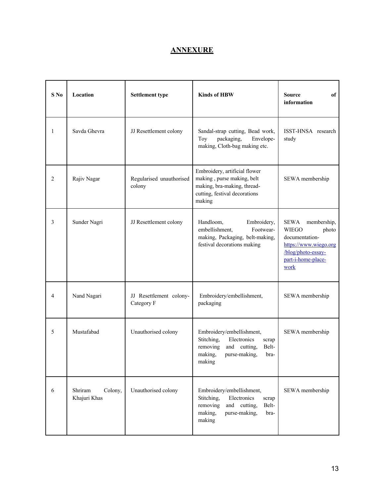# **ANNEXURE**

| $S$ No | Location                           | <b>Settlement type</b>                | <b>Kinds of HBW</b>                                                                                                                                | <b>Source</b><br>of<br>information                                                                                                                 |
|--------|------------------------------------|---------------------------------------|----------------------------------------------------------------------------------------------------------------------------------------------------|----------------------------------------------------------------------------------------------------------------------------------------------------|
| 1      | Savda Ghevra                       | JJ Resettlement colony                | Sandal-strap cutting, Bead work,<br>packaging,<br>Envelope-<br>Toy<br>making, Cloth-bag making etc.                                                | ISST-HNSA research<br>study                                                                                                                        |
| 2      | Rajiv Nagar                        | Regularised unauthorised<br>colony    | Embroidery, artificial flower<br>making, purse making, belt<br>making, bra-making, thread-<br>cutting, festival decorations<br>making              | SEWA membership                                                                                                                                    |
| 3      | Sunder Nagri                       | JJ Resettlement colony                | Handloom,<br>Embroidery,<br>embellishment,<br>Footwear-<br>making, Packaging, belt-making,<br>festival decorations making                          | <b>SEWA</b><br>membership,<br><b>WIEGO</b><br>photo<br>documentation-<br>https://www.wiego.org<br>/blog/photo-essay-<br>part-i-home-place-<br>work |
| 4      | Nand Nagari                        | JJ Resettlement colony-<br>Category F | Embroidery/embellishment,<br>packaging                                                                                                             | SEWA membership                                                                                                                                    |
| 5      | Mustafabad                         | Unauthorised colony                   | Embroidery/embellishment,<br>Stitching,<br>Electronics<br>scrap<br>removing<br>and cutting,<br>Belt-<br>making,<br>purse-making,<br>bra-<br>making | SEWA membership                                                                                                                                    |
| 6      | Shriram<br>Colony,<br>Khajuri Khas | Unauthorised colony                   | Embroidery/embellishment,<br>Stitching,<br>Electronics<br>scrap<br>removing<br>and cutting,<br>Belt-<br>making,<br>purse-making,<br>bra-<br>making | SEWA membership                                                                                                                                    |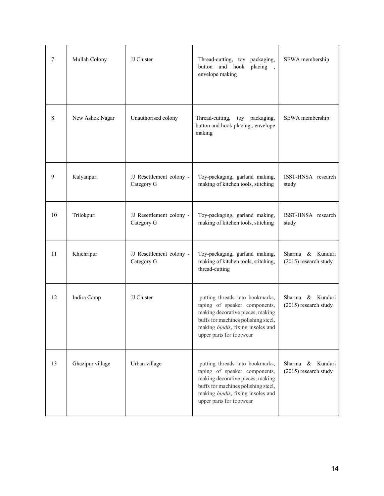| 7  | Mullah Colony    | JJ Cluster                             | Thread-cutting, toy packaging,<br>button and hook<br>placing,<br>envelope making                                                                                                                             | SEWA membership                                    |
|----|------------------|----------------------------------------|--------------------------------------------------------------------------------------------------------------------------------------------------------------------------------------------------------------|----------------------------------------------------|
| 8  | New Ashok Nagar  | Unauthorised colony                    | Thread-cutting,<br>toy<br>packaging,<br>button and hook placing, envelope<br>making                                                                                                                          | SEWA membership                                    |
| 9  | Kalyanpuri       | JJ Resettlement colony -<br>Category G | Toy-packaging, garland making,<br>making of kitchen tools, stitching                                                                                                                                         | ISST-HNSA research<br>study                        |
| 10 | Trilokpuri       | JJ Resettlement colony -<br>Category G | Toy-packaging, garland making,<br>making of kitchen tools, stitching                                                                                                                                         | ISST-HNSA research<br>study                        |
| 11 | Khichripur       | JJ Resettlement colony -<br>Category G | Toy-packaging, garland making,<br>making of kitchen tools, stitching,<br>thread-cutting                                                                                                                      | & Kunduri<br>Sharma<br>(2015) research study       |
| 12 | Indira Camp      | JJ Cluster                             | putting threads into bookmarks,<br>taping of speaker components,<br>making decorative pieces, making<br>buffs for machines polishing steel,<br>making bindis, fixing insoles and<br>upper parts for footwear | Kunduri<br>Sharma<br>&<br>(2015) research study    |
| 13 | Ghazipur village | Urban village                          | putting threads into bookmarks,<br>taping of speaker components,<br>making decorative pieces, making<br>buffs for machines polishing steel,<br>making bindis, fixing insoles and<br>upper parts for footwear | Kunduri<br>Sharma<br>$\&$<br>(2015) research study |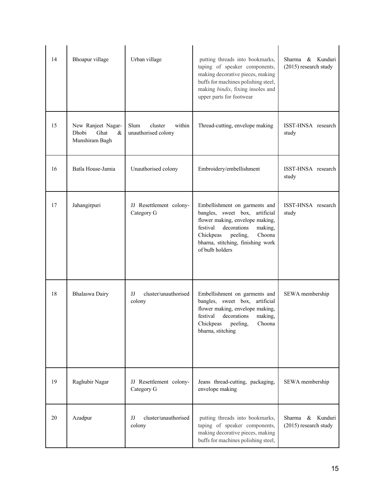| 14 | Bhoapur village                                            | Urban village                                    | putting threads into bookmarks,<br>taping of speaker components,<br>making decorative pieces, making<br>buffs for machines polishing steel,<br>making bindis, fixing insoles and<br>upper parts for footwear                        | & Kunduri<br>Sharma<br>(2015) research study |
|----|------------------------------------------------------------|--------------------------------------------------|-------------------------------------------------------------------------------------------------------------------------------------------------------------------------------------------------------------------------------------|----------------------------------------------|
| 15 | New Ranjeet Nagar-<br>Dhobi<br>Ghat<br>&<br>Munshiram Bagh | within<br>Slum<br>cluster<br>unauthorised colony | Thread-cutting, envelope making                                                                                                                                                                                                     | ISST-HNSA research<br>study                  |
| 16 | Batla House-Jamia                                          | Unauthorised colony                              | Embroidery/embellishment                                                                                                                                                                                                            | ISST-HNSA research<br>study                  |
| 17 | Jahangirpuri                                               | JJ Resettlement colony-<br>Category G            | Embellishment on garments and<br>bangles, sweet box, artificial<br>flower making, envelope making,<br>festival<br>decorations<br>making,<br>Chickpeas<br>peeling,<br>Choona<br>bharna, stitching, finishing work<br>of bulb holders | ISST-HNSA research<br>study                  |
| 18 | Bhalaswa Dairy                                             | cluster/unauthorised<br>IJ<br>colony             | Embellishment on garments and<br>bangles, sweet box, artificial<br>flower making, envelope making,<br>festival decorations<br>making,<br>Chickpeas peeling,<br>Choona<br>bharna, stitching                                          | SEWA membership                              |
| 19 | Raghubir Nagar                                             | JJ Resettlement colony-<br>Category G            | Jeans thread-cutting, packaging,<br>envelope making                                                                                                                                                                                 | SEWA membership                              |
| 20 | Azadpur                                                    | IJ<br>cluster/unauthorised<br>colony             | putting threads into bookmarks,<br>taping of speaker components,<br>making decorative pieces, making<br>buffs for machines polishing steel,                                                                                         | & Kunduri<br>Sharma<br>(2015) research study |